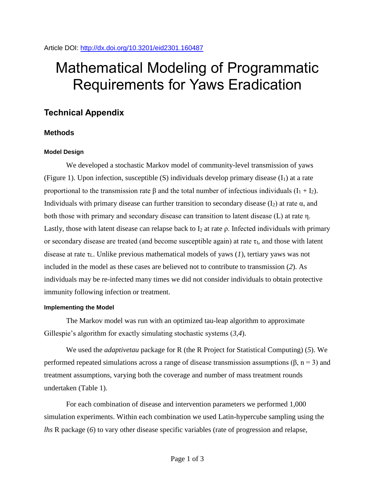# Mathematical Modeling of Programmatic Requirements for Yaws Eradication

## **Technical Appendix**

### **Methods**

#### **Model Design**

We developed a stochastic Markov model of community-level transmission of yaws (Figure 1). Upon infection, susceptible  $(S)$  individuals develop primary disease  $(I_1)$  at a rate proportional to the transmission rate β and the total number of infectious individuals  $(I_1 + I_2)$ . Individuals with primary disease can further transition to secondary disease  $(I_2)$  at rate  $\alpha$ , and both those with primary and secondary disease can transition to latent disease (L) at rate η. Lastly, those with latent disease can relapse back to  $I_2$  at rate  $\rho$ . Infected individuals with primary or secondary disease are treated (and become susceptible again) at rate  $\tau_I$ , and those with latent disease at rate  $\tau_L$ . Unlike previous mathematical models of yaws (*1*), tertiary yaws was not included in the model as these cases are believed not to contribute to transmission (*2*). As individuals may be re-infected many times we did not consider individuals to obtain protective immunity following infection or treatment.

#### **Implementing the Model**

The Markov model was run with an optimized tau-leap algorithm to approximate Gillespie's algorithm for exactly simulating stochastic systems (*3*,*4*).

We used the *adaptivetau* package for R (the R Project for Statistical Computing) (*5*). We performed repeated simulations across a range of disease transmission assumptions (β,  $n = 3$ ) and treatment assumptions, varying both the coverage and number of mass treatment rounds undertaken (Table 1).

For each combination of disease and intervention parameters we performed 1,000 simulation experiments. Within each combination we used Latin-hypercube sampling using the *lhs* R package (*6*) to vary other disease specific variables (rate of progression and relapse,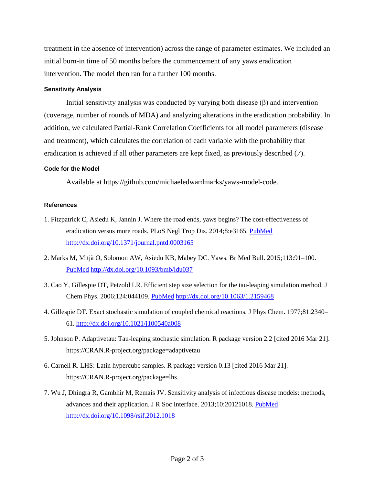treatment in the absence of intervention) across the range of parameter estimates. We included an initial burn-in time of 50 months before the commencement of any yaws eradication intervention. The model then ran for a further 100 months.

#### **Sensitivity Analysis**

Initial sensitivity analysis was conducted by varying both disease (β) and intervention (coverage, number of rounds of MDA) and analyzing alterations in the eradication probability. In addition, we calculated Partial-Rank Correlation Coefficients for all model parameters (disease and treatment), which calculates the correlation of each variable with the probability that eradication is achieved if all other parameters are kept fixed, as previously described (*7*).

#### **Code for the Model**

Available at https://github.com/michaeledwardmarks/yaws-model-code.

#### **References**

- 1. Fitzpatrick C, Asiedu K, Jannin J. Where the road ends, yaws begins? The cost-effectiveness of eradication versus more roads. PLoS Negl Trop Dis. 2014;8:e3165. [PubMed](http://www.ncbi.nlm.nih.gov/entrez/query.fcgi?cmd=Retrieve&db=PubMed&list_uids=25255131&dopt=Abstract) <http://dx.doi.org/10.1371/journal.pntd.0003165>
- 2. Marks M, Mitjà O, Solomon AW, Asiedu KB, Mabey DC. Yaws. Br Med Bull. 2015;113:91–100[.](http://www.ncbi.nlm.nih.gov/entrez/query.fcgi?cmd=Retrieve&db=PubMed&list_uids=25525120&dopt=Abstract) [PubMed](http://www.ncbi.nlm.nih.gov/entrez/query.fcgi?cmd=Retrieve&db=PubMed&list_uids=25525120&dopt=Abstract) <http://dx.doi.org/10.1093/bmb/ldu037>
- 3. Cao Y, Gillespie DT, Petzold LR. Efficient step size selection for the tau-leaping simulation method. J Chem Phys. 2006;124:044109. [PubMed](http://www.ncbi.nlm.nih.gov/entrez/query.fcgi?cmd=Retrieve&db=PubMed&list_uids=16460151&dopt=Abstract) <http://dx.doi.org/10.1063/1.2159468>
- 4. Gillespie DT. Exact stochastic simulation of coupled chemical reactions. J Phys Chem. 1977;81:2340– 61.<http://dx.doi.org/10.1021/j100540a008>
- 5. Johnson P. Adaptivetau: Tau-leaping stochastic simulation. R package version 2.2 [cited 2016 Mar 21]. https://CRAN.R-project.org/package=adaptivetau
- 6. Carnell R. LHS: Latin hypercube samples. R package version 0.13 [cited 2016 Mar 21]. https://CRAN.R-project.org/package=lhs.
- 7. Wu J, Dhingra R, Gambhir M, Remais JV. Sensitivity analysis of infectious disease models: methods, advances and their application. J R Soc Interface. 2013;10:20121018. [PubMed](http://www.ncbi.nlm.nih.gov/entrez/query.fcgi?cmd=Retrieve&db=PubMed&list_uids=23864497&dopt=Abstract) <http://dx.doi.org/10.1098/rsif.2012.1018>